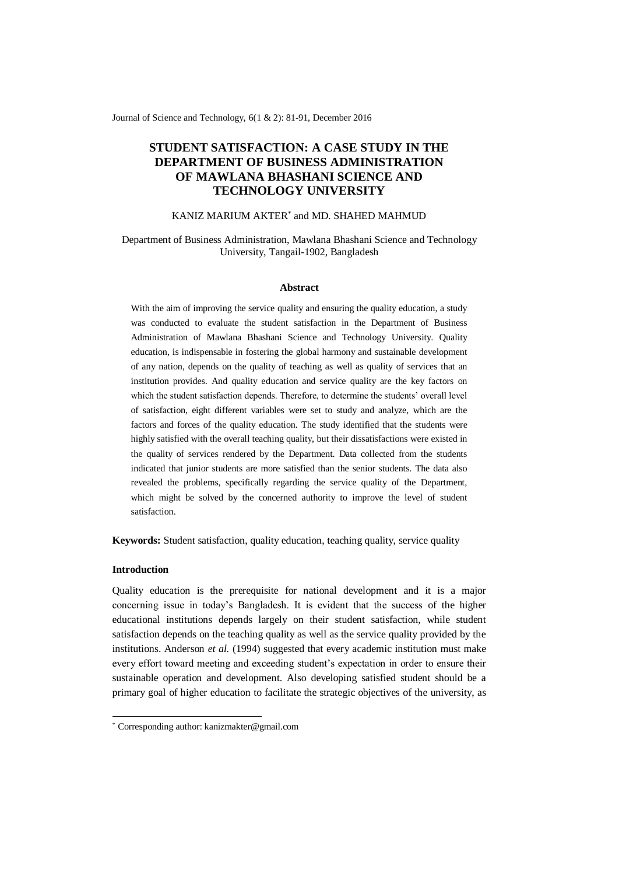Journal of Science and Technology, 6(1 & 2): 81-91, December 2016

# **STUDENT SATISFACTION: A CASE STUDY IN THE DEPARTMENT OF BUSINESS ADMINISTRATION OF MAWLANA BHASHANI SCIENCE AND TECHNOLOGY UNIVERSITY**

### KANIZ MARIUM AKTER\* and MD. SHAHED MAHMUD

### Department of Business Administration, Mawlana Bhashani Science and Technology University, Tangail-1902, Bangladesh

#### **Abstract**

With the aim of improving the service quality and ensuring the quality education, a study was conducted to evaluate the student satisfaction in the Department of Business Administration of Mawlana Bhashani Science and Technology University. Quality education, is indispensable in fostering the global harmony and sustainable development of any nation, depends on the quality of teaching as well as quality of services that an institution provides. And quality education and service quality are the key factors on which the student satisfaction depends. Therefore, to determine the students' overall level of satisfaction, eight different variables were set to study and analyze, which are the factors and forces of the quality education. The study identified that the students were highly satisfied with the overall teaching quality, but their dissatisfactions were existed in the quality of services rendered by the Department. Data collected from the students indicated that junior students are more satisfied than the senior students. The data also revealed the problems, specifically regarding the service quality of the Department, which might be solved by the concerned authority to improve the level of student satisfaction.

**Keywords:** Student satisfaction, quality education, teaching quality, service quality

### **Introduction**

-

Quality education is the prerequisite for national development and it is a major concerning issue in today's Bangladesh. It is evident that the success of the higher educational institutions depends largely on their student satisfaction, while student satisfaction depends on the teaching quality as well as the service quality provided by the institutions. Anderson *et al.* (1994) suggested that every academic institution must make every effort toward meeting and exceeding student's expectation in order to ensure their sustainable operation and development. Also developing satisfied student should be a primary goal of higher education to facilitate the strategic objectives of the university, as

<sup>\*</sup> Corresponding author: kanizmakter@gmail.com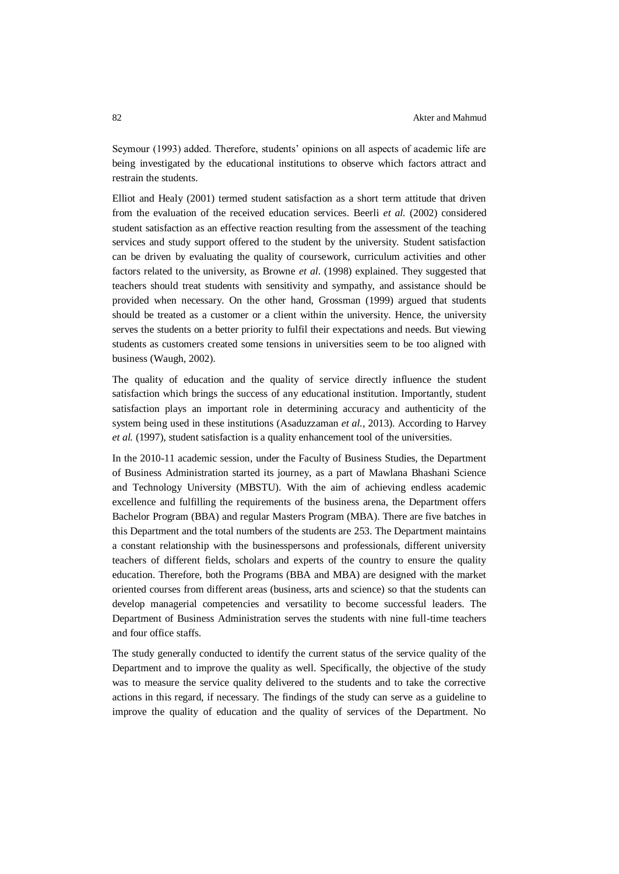Seymour (1993) added. Therefore, students' opinions on all aspects of academic life are being investigated by the educational institutions to observe which factors attract and restrain the students.

Elliot and Healy (2001) termed student satisfaction as a short term attitude that driven from the evaluation of the received education services. Beerli *et al.* (2002) considered student satisfaction as an effective reaction resulting from the assessment of the teaching services and study support offered to the student by the university. Student satisfaction can be driven by evaluating the quality of coursework, curriculum activities and other factors related to the university, as Browne *et al*. (1998) explained. They suggested that teachers should treat students with sensitivity and sympathy, and assistance should be provided when necessary. On the other hand, Grossman (1999) argued that students should be treated as a customer or a client within the university. Hence, the university serves the students on a better priority to fulfil their expectations and needs. But viewing students as customers created some tensions in universities seem to be too aligned with business (Waugh, 2002).

The quality of education and the quality of service directly influence the student satisfaction which brings the success of any educational institution. Importantly, student satisfaction plays an important role in determining accuracy and authenticity of the system being used in these institutions (Asaduzzaman *et al.,* 2013). According to Harvey *et al.* (1997), student satisfaction is a quality enhancement tool of the universities.

In the 2010-11 academic session, under the Faculty of Business Studies, the Department of Business Administration started its journey, as a part of Mawlana Bhashani Science and Technology University (MBSTU). With the aim of achieving endless academic excellence and fulfilling the requirements of the business arena, the Department offers Bachelor Program (BBA) and regular Masters Program (MBA). There are five batches in this Department and the total numbers of the students are 253. The Department maintains a constant relationship with the businesspersons and professionals, different university teachers of different fields, scholars and experts of the country to ensure the quality education. Therefore, both the Programs (BBA and MBA) are designed with the market oriented courses from different areas (business, arts and science) so that the students can develop managerial competencies and versatility to become successful leaders. The Department of Business Administration serves the students with nine full-time teachers and four office staffs.

The study generally conducted to identify the current status of the service quality of the Department and to improve the quality as well. Specifically, the objective of the study was to measure the service quality delivered to the students and to take the corrective actions in this regard, if necessary. The findings of the study can serve as a guideline to improve the quality of education and the quality of services of the Department. No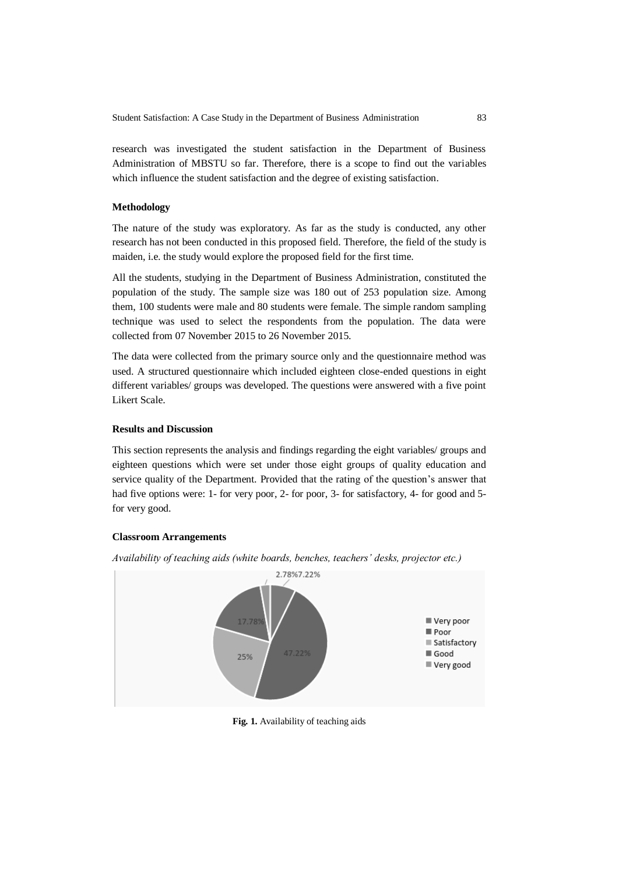research was investigated the student satisfaction in the Department of Business Administration of MBSTU so far. Therefore, there is a scope to find out the variables which influence the student satisfaction and the degree of existing satisfaction.

### **Methodology**

The nature of the study was exploratory. As far as the study is conducted, any other research has not been conducted in this proposed field. Therefore, the field of the study is maiden, i.e. the study would explore the proposed field for the first time.

All the students, studying in the Department of Business Administration, constituted the population of the study. The sample size was 180 out of 253 population size. Among them, 100 students were male and 80 students were female. The simple random sampling technique was used to select the respondents from the population. The data were collected from 07 November 2015 to 26 November 2015.

The data were collected from the primary source only and the questionnaire method was used. A structured questionnaire which included eighteen close-ended questions in eight different variables/ groups was developed. The questions were answered with a five point Likert Scale.

### **Results and Discussion**

This section represents the analysis and findings regarding the eight variables/ groups and eighteen questions which were set under those eight groups of quality education and service quality of the Department. Provided that the rating of the question's answer that had five options were: 1- for very poor, 2- for poor, 3- for satisfactory, 4- for good and 5 for very good.

#### **Classroom Arrangements**



*Availability of teaching aids (white boards, benches, teachers' desks, projector etc.)*

**Fig. 1.** Availability of teaching aids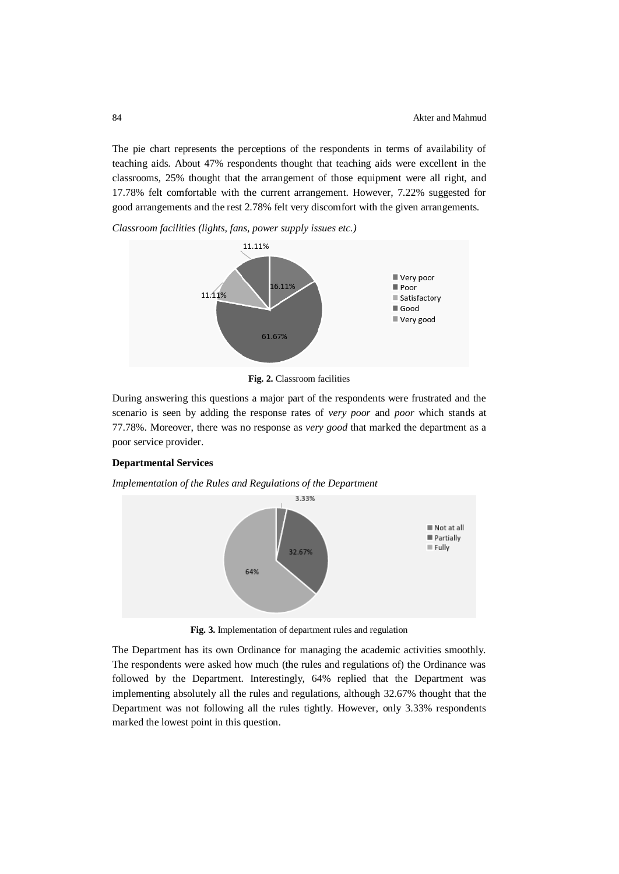The pie chart represents the perceptions of the respondents in terms of availability of teaching aids. About 47% respondents thought that teaching aids were excellent in the classrooms, 25% thought that the arrangement of those equipment were all right, and 17.78% felt comfortable with the current arrangement. However, 7.22% suggested for good arrangements and the rest 2.78% felt very discomfort with the given arrangements.

*Classroom facilities (lights, fans, power supply issues etc.)*



**Fig. 2.** Classroom facilities

During answering this questions a major part of the respondents were frustrated and the scenario is seen by adding the response rates of *very poor* and *poor* which stands at 77.78%. Moreover, there was no response as *very good* that marked the department as a poor service provider.

### **Departmental Services**

*Implementation of the Rules and Regulations of the Department*



**Fig. 3.** Implementation of department rules and regulation

The Department has its own Ordinance for managing the academic activities smoothly. The respondents were asked how much (the rules and regulations of) the Ordinance was followed by the Department. Interestingly, 64% replied that the Department was implementing absolutely all the rules and regulations, although 32.67% thought that the Department was not following all the rules tightly. However, only 3.33% respondents marked the lowest point in this question.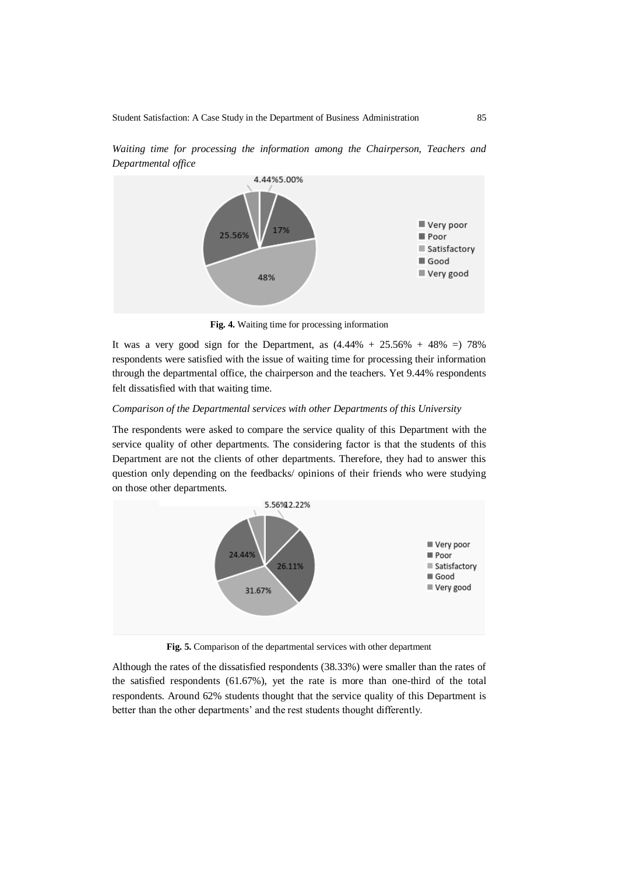

*Waiting time for processing the information among the Chairperson, Teachers and Departmental office*

**Fig. 4.** Waiting time for processing information

It was a very good sign for the Department, as  $(4.44\% + 25.56\% + 48\% = 78\%$ respondents were satisfied with the issue of waiting time for processing their information through the departmental office, the chairperson and the teachers. Yet 9.44% respondents felt dissatisfied with that waiting time.

### *Comparison of the Departmental services with other Departments of this University*

The respondents were asked to compare the service quality of this Department with the service quality of other departments. The considering factor is that the students of this Department are not the clients of other departments. Therefore, they had to answer this question only depending on the feedbacks/ opinions of their friends who were studying on those other departments.



**Fig. 5.** Comparison of the departmental services with other department

Although the rates of the dissatisfied respondents (38.33%) were smaller than the rates of the satisfied respondents (61.67%), yet the rate is more than one-third of the total respondents. Around 62% students thought that the service quality of this Department is better than the other departments' and the rest students thought differently.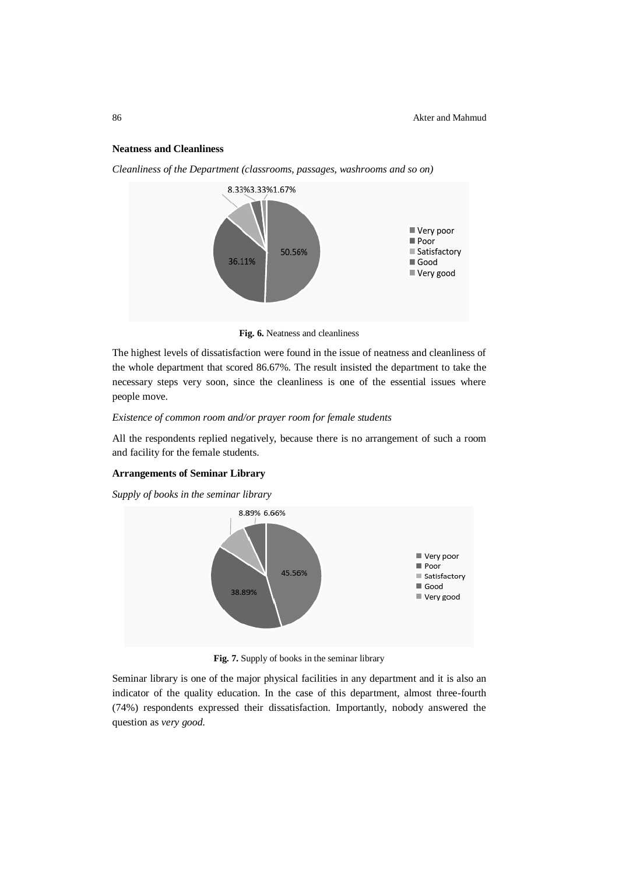#### **Neatness and Cleanliness**



*Cleanliness of the Department (classrooms, passages, washrooms and so on)*

**Fig. 6.** Neatness and cleanliness

The highest levels of dissatisfaction were found in the issue of neatness and cleanliness of the whole department that scored 86.67%. The result insisted the department to take the necessary steps very soon, since the cleanliness is one of the essential issues where people move.

### *Existence of common room and/or prayer room for female students*

All the respondents replied negatively, because there is no arrangement of such a room and facility for the female students.

### **Arrangements of Seminar Library**

*Supply of books in the seminar library*



**Fig. 7.** Supply of books in the seminar library

Seminar library is one of the major physical facilities in any department and it is also an indicator of the quality education. In the case of this department, almost three-fourth (74%) respondents expressed their dissatisfaction. Importantly, nobody answered the question as *very good.*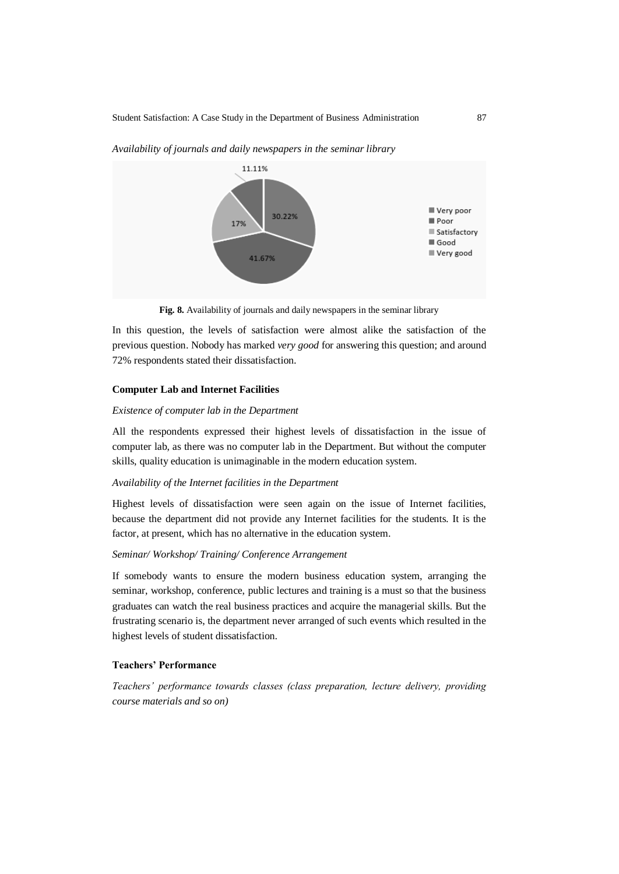

*Availability of journals and daily newspapers in the seminar library*

**Fig. 8.** Availability of journals and daily newspapers in the seminar library

In this question, the levels of satisfaction were almost alike the satisfaction of the previous question. Nobody has marked *very good* for answering this question; and around 72% respondents stated their dissatisfaction.

#### **Computer Lab and Internet Facilities**

#### *Existence of computer lab in the Department*

All the respondents expressed their highest levels of dissatisfaction in the issue of computer lab, as there was no computer lab in the Department. But without the computer skills, quality education is unimaginable in the modern education system.

### *Availability of the Internet facilities in the Department*

Highest levels of dissatisfaction were seen again on the issue of Internet facilities, because the department did not provide any Internet facilities for the students. It is the factor, at present, which has no alternative in the education system.

### *Seminar/ Workshop/ Training/ Conference Arrangement*

If somebody wants to ensure the modern business education system, arranging the seminar, workshop, conference, public lectures and training is a must so that the business graduates can watch the real business practices and acquire the managerial skills. But the frustrating scenario is, the department never arranged of such events which resulted in the highest levels of student dissatisfaction.

### **Teachers' Performance**

*Teachers' performance towards classes (class preparation, lecture delivery, providing course materials and so on)*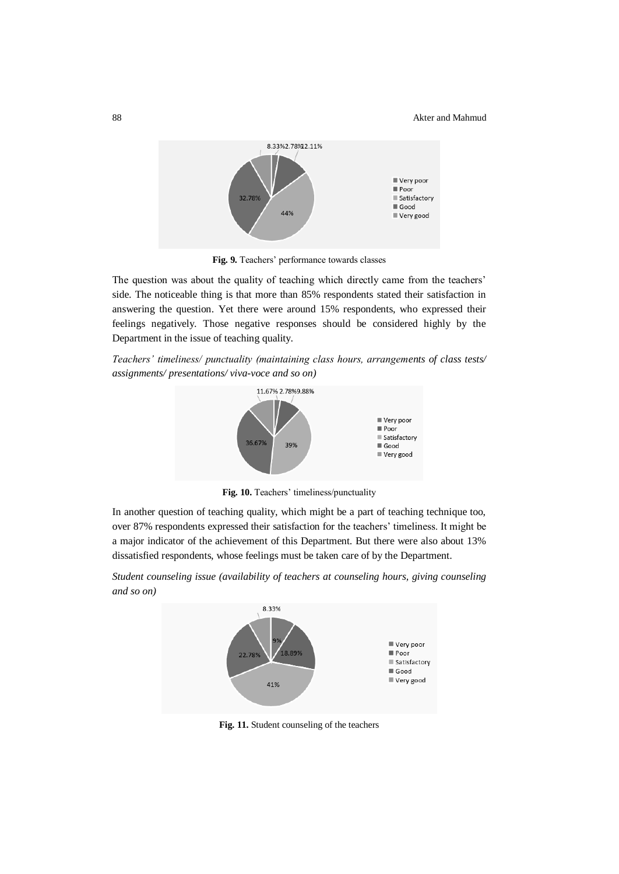

**Fig. 9.** Teachers' performance towards classes

The question was about the quality of teaching which directly came from the teachers' side. The noticeable thing is that more than 85% respondents stated their satisfaction in answering the question. Yet there were around 15% respondents, who expressed their feelings negatively. Those negative responses should be considered highly by the Department in the issue of teaching quality.

*Teachers' timeliness/ punctuality (maintaining class hours, arrangements of class tests/ assignments/ presentations/ viva-voce and so on)*



**Fig. 10.** Teachers' timeliness/punctuality

In another question of teaching quality, which might be a part of teaching technique too, over 87% respondents expressed their satisfaction for the teachers' timeliness. It might be a major indicator of the achievement of this Department. But there were also about 13% dissatisfied respondents, whose feelings must be taken care of by the Department.

*Student counseling issue (availability of teachers at counseling hours, giving counseling and so on)*



**Fig. 11.** Student counseling of the teachers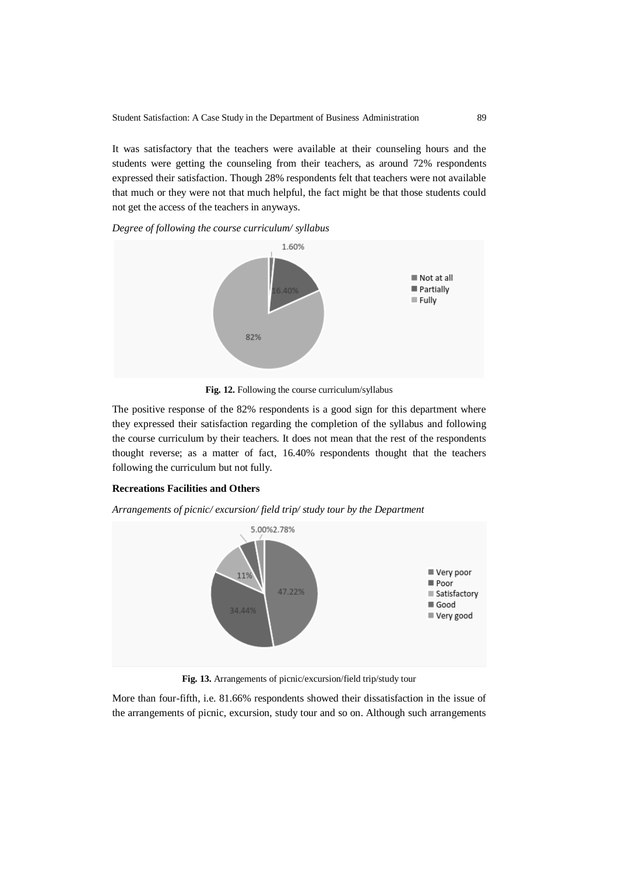It was satisfactory that the teachers were available at their counseling hours and the students were getting the counseling from their teachers, as around 72% respondents expressed their satisfaction. Though 28% respondents felt that teachers were not available that much or they were not that much helpful, the fact might be that those students could not get the access of the teachers in anyways.

*Degree of following the course curriculum/ syllabus*



**Fig. 12.** Following the course curriculum/syllabus

The positive response of the 82% respondents is a good sign for this department where they expressed their satisfaction regarding the completion of the syllabus and following the course curriculum by their teachers. It does not mean that the rest of the respondents thought reverse; as a matter of fact, 16.40% respondents thought that the teachers following the curriculum but not fully.

### **Recreations Facilities and Others**

*Arrangements of picnic/ excursion/ field trip/ study tour by the Department*



**Fig. 13.** Arrangements of picnic/excursion/field trip/study tour

More than four-fifth, i.e. 81.66% respondents showed their dissatisfaction in the issue of the arrangements of picnic, excursion, study tour and so on. Although such arrangements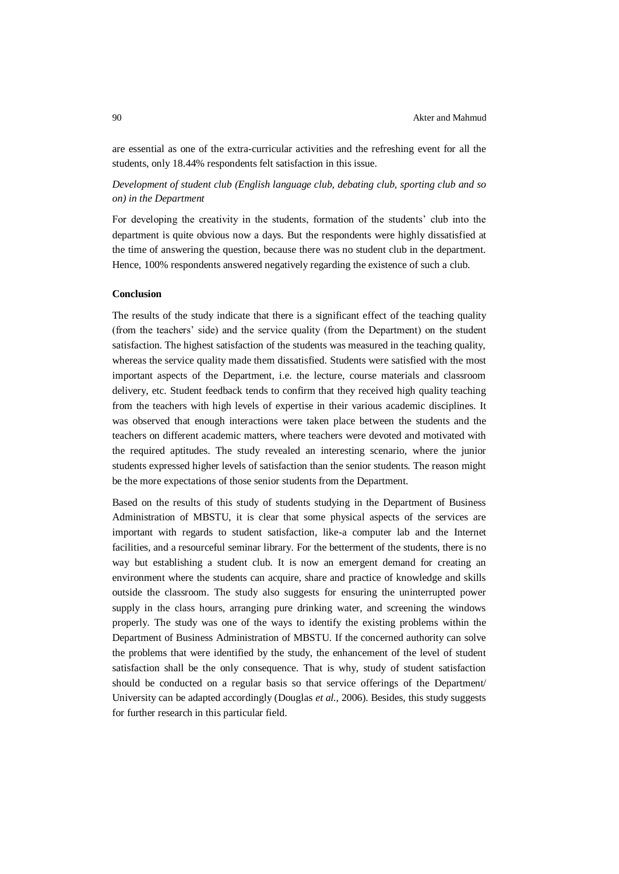are essential as one of the extra-curricular activities and the refreshing event for all the students, only 18.44% respondents felt satisfaction in this issue.

## *Development of student club (English language club, debating club, sporting club and so on) in the Department*

For developing the creativity in the students, formation of the students' club into the department is quite obvious now a days. But the respondents were highly dissatisfied at the time of answering the question, because there was no student club in the department. Hence, 100% respondents answered negatively regarding the existence of such a club.

#### **Conclusion**

The results of the study indicate that there is a significant effect of the teaching quality (from the teachers' side) and the service quality (from the Department) on the student satisfaction. The highest satisfaction of the students was measured in the teaching quality, whereas the service quality made them dissatisfied. Students were satisfied with the most important aspects of the Department, i.e. the lecture, course materials and classroom delivery, etc. Student feedback tends to confirm that they received high quality teaching from the teachers with high levels of expertise in their various academic disciplines. It was observed that enough interactions were taken place between the students and the teachers on different academic matters, where teachers were devoted and motivated with the required aptitudes. The study revealed an interesting scenario, where the junior students expressed higher levels of satisfaction than the senior students. The reason might be the more expectations of those senior students from the Department.

Based on the results of this study of students studying in the Department of Business Administration of MBSTU, it is clear that some physical aspects of the services are important with regards to student satisfaction, like-a computer lab and the Internet facilities, and a resourceful seminar library. For the betterment of the students, there is no way but establishing a student club. It is now an emergent demand for creating an environment where the students can acquire, share and practice of knowledge and skills outside the classroom. The study also suggests for ensuring the uninterrupted power supply in the class hours, arranging pure drinking water, and screening the windows properly. The study was one of the ways to identify the existing problems within the Department of Business Administration of MBSTU. If the concerned authority can solve the problems that were identified by the study, the enhancement of the level of student satisfaction shall be the only consequence. That is why, study of student satisfaction should be conducted on a regular basis so that service offerings of the Department/ University can be adapted accordingly (Douglas *et al.,* 2006). Besides, this study suggests for further research in this particular field.